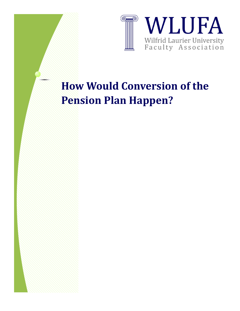

# **How Would Conversion of the Pension Plan Happen?**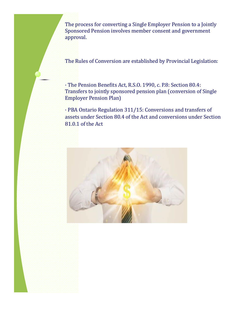The process for converting a Single Employer Pension to a Jointly Sponsored Pension involves member consent and government approval.

The Rules of Conversion are established by Provincial Legislation:

· The Pension Benefits Act, R.S.O. 1990, c. P.8: Section 80.4: Transfers to jointly sponsored pension plan (conversion of Single Employer Pension Plan)

· PBA Ontario Regulation 311/15: Conversions and transfers of assets under Section 80.4 of the Act and conversions under Section 81.0.1 of the Act

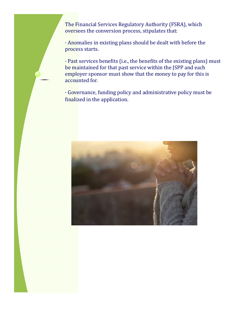The Financial Services Regulatory Authority (FSRA), which oversees the conversion process, stipulates that:

· Anomalies in existing plans should be dealt with before the process starts.

· Past services benefits (i.e., the benefits of the existing plans) must be maintained for that past service within the JSPP and each employer sponsor must show that the money to pay for this is accounted for.

· Governance, funding policy and administrative policy must be finalized in the application.

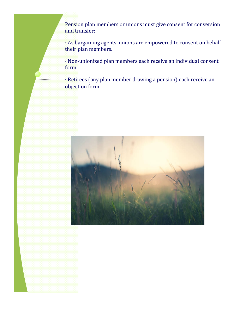Pension plan members or unions must give consent for conversion and transfer:

· As bargaining agents, unions are empowered to consent on behalf their plan members.

· Non-unionized plan members each receive an individual consent form.

· Retirees (any plan member drawing a pension) each receive an objection form.

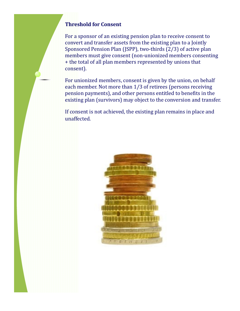## **Threshold for Consent**

For a sponsor of an existing pension plan to receive consent to convert and transfer assets from the existing plan to a Jointly Sponsored Pension Plan (JSPP), two-thirds (2/3) of active plan members must give consent (non-unionized members consenting + the total of all plan members represented by unions that consent).

For unionized members, consent is given by the union, on behalf each member. Not more than 1/3 of retirees (persons receiving pension payments), and other persons entitled to benefits in the existing plan (survivors) may object to the conversion and transfer.

If consent is not achieved, the existing plan remains in place and unaffected.

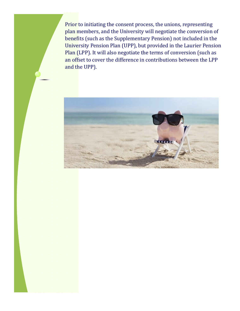Prior to initiating the consent process, the unions, representing plan members, and the University will negotiate the conversion of benefits (such as the Supplementary Pension) not included in the University Pension Plan (UPP), but provided in the Laurier Pension Plan (LPP). It will also negotiate the terms of conversion (such as an offset to cover the difference in contributions between the LPP and the UPP).

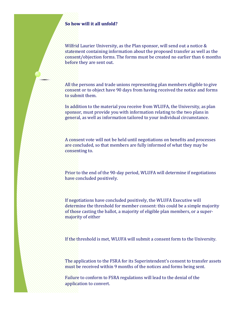#### **So how will it all unfold?**

Wilfrid Laurier University, as the Plan sponsor, will send out a notice & statement containing information about the proposed transfer as well as the consent/objection forms. The forms must be created no earlier than 6 months before they are sent out.

All the persons and trade unions representing plan members eligible to give consent or to object have 90 days from having received the notice and forms to submit them.

In addition to the material you receive from WLUFA, the University, as plan sponsor, must provide you with information relating to the two plans in general, as well as information tailored to your individual circumstance.

A consent vote will not be held until negotiations on benefits and processes are concluded, so that members are fully informed of what they may be consenting to.

Prior to the end of the 90-day period, WLUFA will determine if negotiations have concluded positively.

If negotiations have concluded positively, the WLUFA Executive will determine the threshold for member consent: this could be a simple majority of those casting the ballot, a majority of eligible plan members, or a supermajority of either

If the threshold is met, WLUFA will submit a consent form to the University.

The application to the FSRA for its Superintendent's consent to transfer assets must be received within 9 months of the notices and forms being sent.

Failure to conform to FSRA regulations will lead to the denial of the application to convert.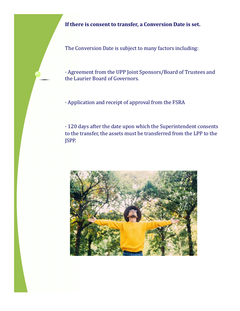**If there is consent to transfer, a Conversion Date is set.**

The Conversion Date is subject to many factors including:

· Agreement from the UPP Joint Sponsors/Board of Trustees and the Laurier Board of Governors.

· Application and receipt of approval from the FSRA

· 120 days after the date upon which the Superintendent consents to the transfer, the assets must be transferred from the LPP to the JSPP.

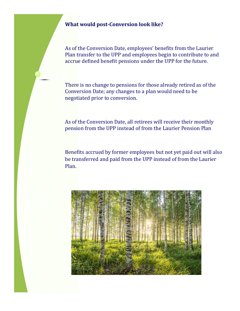## **What would post-Conversion look like?**

As of the Conversion Date, employees' benefits from the Laurier Plan transfer to the UPP and employees begin to contribute to and accrue defined benefit pensions under the UPP for the future.

There is no change to pensions for those already retired as of the Conversion Date; any changes to a plan would need to be negotiated prior to conversion.

As of the Conversion Date, all retirees will receive their monthly pension from the UPP instead of from the Laurier Pension Plan

Benefits accrued by former employees but not yet paid out will also be transferred and paid from the UPP instead of from the Laurier Plan.